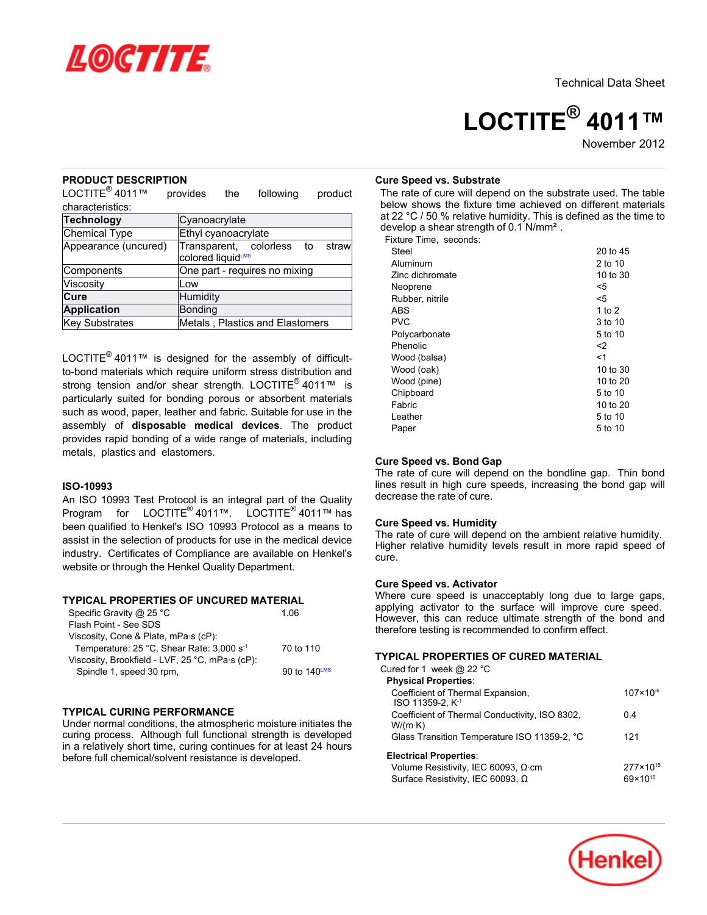

# **LOCTITE® 4011™**

November 2012

## **PRODUCT DESCRIPTION**

LOCTITE $^{\circledR}$ 4011™ provides the following product characteristics:

| <b>Technology</b>     | Cyanoacrylate                                           |  |  |  |  |  |
|-----------------------|---------------------------------------------------------|--|--|--|--|--|
| Chemical Type         | Ethyl cyanoacrylate                                     |  |  |  |  |  |
| Appearance (uncured)  | Transparent, colorless to<br>straw<br>colored liquidLMS |  |  |  |  |  |
| Components            | One part - requires no mixing                           |  |  |  |  |  |
| Viscosity             | Low                                                     |  |  |  |  |  |
| Cure                  | Humidity                                                |  |  |  |  |  |
| <b>Application</b>    | Bonding                                                 |  |  |  |  |  |
| <b>Key Substrates</b> | Metals, Plastics and Elastomers                         |  |  |  |  |  |

LOCTITE® 4011™ is designed for the assembly of difficultto-bond materials which require uniform stress distribution and strong tension and/or shear strength. LOCTITE<sup>®</sup> 4011™ is particularly suited for bonding porous or absorbent materials such as wood, paper, leather and fabric. Suitable for use in the assembly of **disposable medical devices**. The product provides rapid bonding of a wide range of materials, including metals, plastics and elastomers.

#### **ISO-10993**

An ISO 10993 Test Protocol is an integral part of the Quality Program for LOCTITE<sup>®</sup> 4011™. LOCTITE<sup>®</sup> 4011™ has been qualified to Henkel's ISO 10993 Protocol as a means to assist in the selection of products for use in the medical device industry. Certificates of Compliance are available on Henkel's website or through the Henkel Quality Department.

# **TYPICAL PROPERTIES OF UNCURED MATERIAL**

| Specific Gravity @ 25 °C                              | 1.06         |
|-------------------------------------------------------|--------------|
| Flash Point - See SDS                                 |              |
| Viscosity, Cone & Plate, mPa.s (cP):                  |              |
| Temperature: 25 °C, Shear Rate: 3,000 s <sup>-1</sup> | 70 to 110    |
| Viscosity, Brookfield - LVF, 25 °C, mPa·s (cP):       |              |
| Spindle 1, speed 30 rpm,                              | 90 to 140LMS |

## **TYPICAL CURING PERFORMANCE**

Under normal conditions, the atmospheric moisture initiates the curing process. Although full functional strength is developed in a relatively short time, curing continues for at least 24 hours before full chemical/solvent resistance is developed.

#### **Cure Speed vs. Substrate**

The rate of cure will depend on the substrate used. The table below shows the fixture time achieved on different materials at 22 °C / 50 % relative humidity. This is defined as the time to develop a shear strength of 0.1 N/mm².

Fixture Time, seconds:

| Steel           | 20 to 45 |
|-----------------|----------|
| Aluminum        | 2 to 10  |
| Zinc dichromate | 10 to 30 |
| Neoprene        | <5       |
| Rubber, nitrile | <5       |
| <b>ABS</b>      | 1 to 2   |
| <b>PVC</b>      | 3 to 10  |
| Polycarbonate   | 5 to 10  |
| Phenolic        | <2       |
| Wood (balsa)    | <1       |
| Wood (oak)      | 10 to 30 |
| Wood (pine)     | 10 to 20 |
| Chipboard       | 5 to 10  |
| Fabric          | 10 to 20 |
| Leather         | 5 to 10  |
| Paper           | 5 to 10  |
|                 |          |

#### **Cure Speed vs. Bond Gap**

The rate of cure will depend on the bondline gap. Thin bond lines result in high cure speeds, increasing the bond gap will decrease the rate of cure.

#### **Cure Speed vs. Humidity**

The rate of cure will depend on the ambient relative humidity. Higher relative humidity levels result in more rapid speed of cure.

#### **Cure Speed vs. Activator**

Where cure speed is unacceptably long due to large gaps, applying activator to the surface will improve cure speed. However, this can reduce ultimate strength of the bond and therefore testing is recommended to confirm effect.

#### **TYPICAL PROPERTIES OF CURED MATERIAL**

| Cured for 1 week @ 22 $^{\circ}$ C                                |                      |
|-------------------------------------------------------------------|----------------------|
| <b>Physical Properties:</b>                                       |                      |
| Coefficient of Thermal Expansion,<br>ISO 11359-2, K <sup>-1</sup> | $107 \times 10^{-6}$ |
| Coefficient of Thermal Conductivity, ISO 8302,<br>$W/(m \cdot K)$ | 0.4                  |
| Glass Transition Temperature ISO 11359-2, °C                      | 121                  |
| <b>Electrical Properties:</b>                                     |                      |
| Volume Resistivity, IEC 60093, $\Omega$ ·cm                       | $277 \times 10^{15}$ |
| Surface Resistivity, IEC 60093, $\Omega$                          | $69 \times 10^{15}$  |

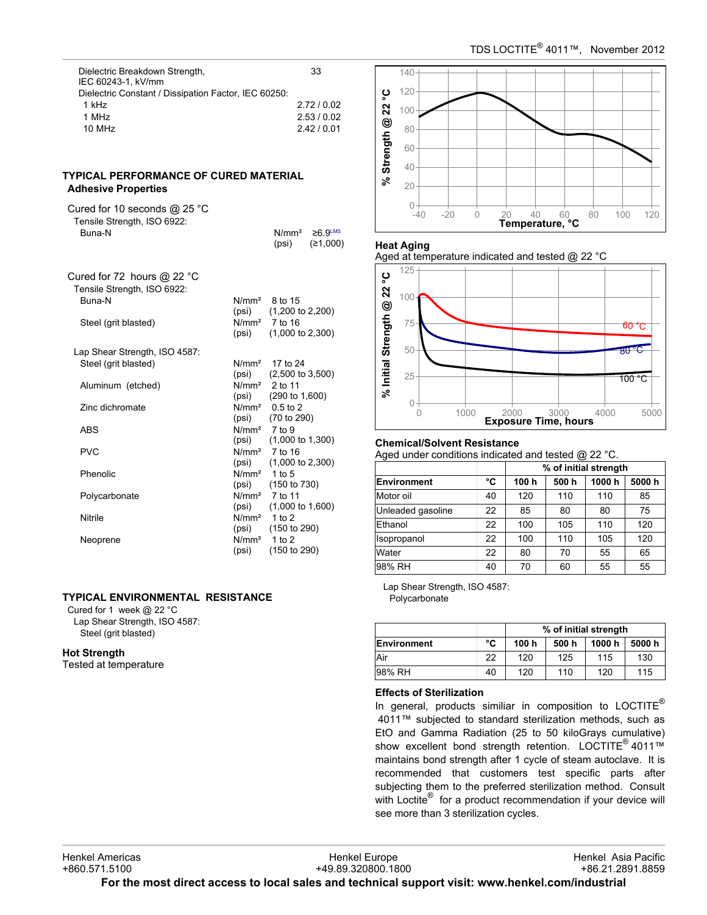| Dielectric Breakdown Strength,<br>IEC 60243-1. kV/mm | 33        |
|------------------------------------------------------|-----------|
| Dielectric Constant / Dissipation Factor, IEC 60250: |           |
| 1 kHz                                                | 2.72/0.02 |
| 1 MHz                                                | 2.53/0.02 |
| 10 MHz                                               | 2.42/0.01 |
|                                                      |           |

# **TYPICAL PERFORMANCE OF CURED MATERIAL Adhesive Properties**

| Cured for 10 seconds $@$ 25 °C<br>Tensile Strength, ISO 6922:<br><b>Buna-N</b> |                                   | N/mm <sup>2</sup><br>(psi)                     | $≥6.9^{\text{LMS}}$<br>(≥1,000) |
|--------------------------------------------------------------------------------|-----------------------------------|------------------------------------------------|---------------------------------|
| Cured for 72 hours $@$ 22 °C<br>Tensile Strength, ISO 6922:                    |                                   |                                                |                                 |
| <b>Buna-N</b>                                                                  | (psi)                             | $N/mm2$ 8 to 15<br>$(1,200 \text{ to } 2,200)$ |                                 |
| Steel (grit blasted)                                                           | (psi)                             | $N/mm2$ 7 to 16<br>$(1,000 \text{ to } 2,300)$ |                                 |
| Lap Shear Strength, ISO 4587:                                                  |                                   |                                                |                                 |
| Steel (grit blasted)                                                           | N/mm <sup>2</sup><br>(psi)        | 17 to 24<br>$(2,500 \text{ to } 3,500)$        |                                 |
| Aluminum (etched)                                                              |                                   | $N/mm2$ 2 to 11<br>$(psi)$ $(290 to 1,600)$    |                                 |
| Zinc dichromate                                                                | (psi)                             | $N/mm2$ 0.5 to 2<br>(70 to 290)                |                                 |
| ABS                                                                            | N/mm <sup>2</sup><br>(psi)        | 7 to 9<br>$(1,000 \text{ to } 1,300)$          |                                 |
| PVC                                                                            | (psi)                             | $N/mm2$ 7 to 16<br>$(1,000 \text{ to } 2,300)$ |                                 |
| Phenolic                                                                       | N/mm <sup>2</sup> 1 to 5<br>(psi) | (150 to 730)                                   |                                 |
| Polycarbonate                                                                  | (psi)                             | $N/mm2$ 7 to 11<br>$(1,000 \text{ to } 1,600)$ |                                 |
| Nitrile                                                                        | $N/mm2$ 1 to 2<br>(psi)           | (150 to 290)                                   |                                 |
| Neoprene                                                                       | N/mm <sup>2</sup><br>(psi)        | 1 to $2$<br>(150 to 290)                       |                                 |

# **TYPICAL ENVIRONMENTAL RESISTANCE**

Cured for 1 week @ 22 °C Lap Shear Strength, ISO 4587: Steel (grit blasted)

## **Hot Strength**

Tested at temperature



## **Heat Aging**





## **Chemical/Solvent Resistance**

Aged under conditions indicated and tested @ 22 °C.

|                   |    | % of initial strength |      |       |       |
|-------------------|----|-----------------------|------|-------|-------|
| Environment       | °C | 100 h                 | 500h | 1000h | 5000h |
| Motor oil         | 40 | 120                   | 110  | 110   | 85    |
| Unleaded gasoline | 22 | 85                    | 80   | 80    | 75    |
| Ethanol           | 22 | 100                   | 105  | 110   | 120   |
| Isopropanol       | 22 | 100                   | 110  | 105   | 120   |
| Water             | 22 | 80                    | 70   | 55    | 65    |
| 98% RH            | 40 | 70                    | 60   | 55    | 55    |

Lap Shear Strength, ISO 4587: Polycarbonate

|             |    | % of initial strength |       |        |       |
|-------------|----|-----------------------|-------|--------|-------|
| Environment | °C | 100 h                 | 500 h | 1000 h | 5000h |
| Air         | 22 | 120                   | 125   | 115    | 130   |
| 98% RH      | 40 | 120                   | 110   | 120    | 115   |

#### **Effects of Sterilization**

In general, products similiar in composition to  $LOCTITE^{\circledcirc}$  4011™ subjected to standard sterilization methods, such as EtO and Gamma Radiation (25 to 50 kiloGrays cumulative) show excellent bond strength retention. LOCTITE<sup>®</sup> 4011™ maintains bond strength after 1 cycle of steam autoclave. It is recommended that customers test specific parts after subjecting them to the preferred sterilization method. Consult with Loctite® for a product recommendation if your device will see more than 3 sterilization cycles.